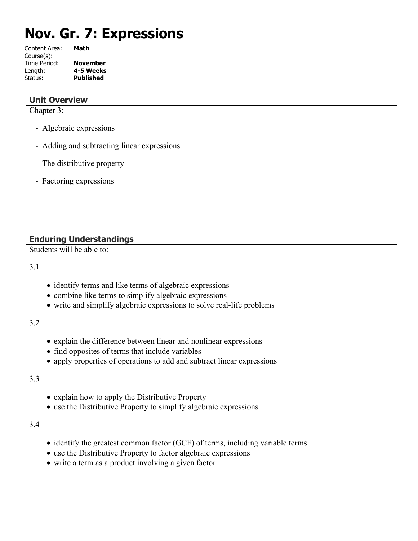# **Nov. Gr. 7: Expressions**

| Math             |
|------------------|
|                  |
| <b>November</b>  |
| 4-5 Weeks        |
| <b>Published</b> |
|                  |

#### **Unit Overview**

Chapter 3:

- Algebraic expressions
- Adding and subtracting linear expressions
- The distributive property
- Factoring expressions

# **Enduring Understandings**

Students will be able to:

3.1

- identify terms and like terms of algebraic expressions
- combine like terms to simplify algebraic expressions
- write and simplify algebraic expressions to solve real-life problems

3.2

- explain the difference between linear and nonlinear expressions
- find opposites of terms that include variables
- apply properties of operations to add and subtract linear expressions

#### 3.3

- explain how to apply the Distributive Property
- use the Distributive Property to simplify algebraic expressions

3.4

- identify the greatest common factor (GCF) of terms, including variable terms
- use the Distributive Property to factor algebraic expressions
- write a term as a product involving a given factor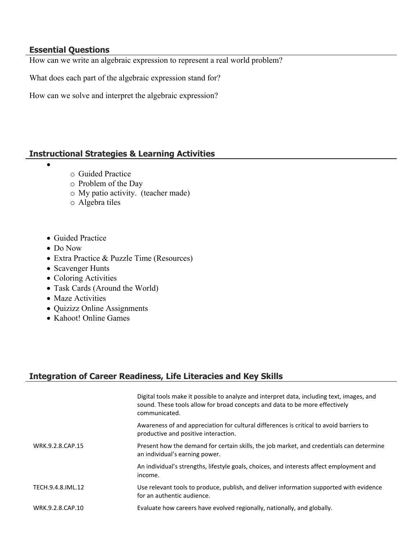### **Essential Questions**

How can we write an algebraic expression to represent a real world problem?

What does each part of the algebraic expression stand for?

How can we solve and interpret the algebraic expression?

# **Instructional Strategies & Learning Activities**

- o Guided Practice
	- o Problem of the Day
	- o My patio activity. (teacher made)
- o Algebra tiles
- Guided Practice
- Do Now

 $\bullet$ 

- Extra Practice & Puzzle Time (Resources)
- Scavenger Hunts
- Coloring Activities
- Task Cards (Around the World)
- Maze Activities
- Quizizz Online Assignments
- Kahoot! Online Games

# **Integration of Career Readiness, Life Literacies and Key Skills**

|                   | Digital tools make it possible to analyze and interpret data, including text, images, and<br>sound. These tools allow for broad concepts and data to be more effectively<br>communicated. |
|-------------------|-------------------------------------------------------------------------------------------------------------------------------------------------------------------------------------------|
|                   | Awareness of and appreciation for cultural differences is critical to avoid barriers to<br>productive and positive interaction.                                                           |
| WRK.9.2.8.CAP.15  | Present how the demand for certain skills, the job market, and credentials can determine<br>an individual's earning power.                                                                |
|                   | An individual's strengths, lifestyle goals, choices, and interests affect employment and<br>income.                                                                                       |
| TECH.9.4.8.IML.12 | Use relevant tools to produce, publish, and deliver information supported with evidence<br>for an authentic audience.                                                                     |
| WRK.9.2.8.CAP.10  | Evaluate how careers have evolved regionally, nationally, and globally.                                                                                                                   |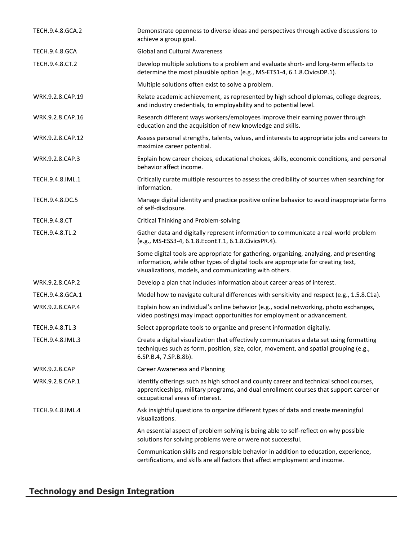| TECH.9.4.8.GCA.2      | Demonstrate openness to diverse ideas and perspectives through active discussions to<br>achieve a group goal.                                                                                                                           |  |  |
|-----------------------|-----------------------------------------------------------------------------------------------------------------------------------------------------------------------------------------------------------------------------------------|--|--|
| <b>TECH.9.4.8.GCA</b> | <b>Global and Cultural Awareness</b>                                                                                                                                                                                                    |  |  |
| TECH.9.4.8.CT.2       | Develop multiple solutions to a problem and evaluate short- and long-term effects to<br>determine the most plausible option (e.g., MS-ETS1-4, 6.1.8.CivicsDP.1).                                                                        |  |  |
|                       | Multiple solutions often exist to solve a problem.                                                                                                                                                                                      |  |  |
| WRK.9.2.8.CAP.19      | Relate academic achievement, as represented by high school diplomas, college degrees,<br>and industry credentials, to employability and to potential level.                                                                             |  |  |
| WRK.9.2.8.CAP.16      | Research different ways workers/employees improve their earning power through<br>education and the acquisition of new knowledge and skills.                                                                                             |  |  |
| WRK.9.2.8.CAP.12      | Assess personal strengths, talents, values, and interests to appropriate jobs and careers to<br>maximize career potential.                                                                                                              |  |  |
| WRK.9.2.8.CAP.3       | Explain how career choices, educational choices, skills, economic conditions, and personal<br>behavior affect income.                                                                                                                   |  |  |
| TECH.9.4.8.IML.1      | Critically curate multiple resources to assess the credibility of sources when searching for<br>information.                                                                                                                            |  |  |
| TECH.9.4.8.DC.5       | Manage digital identity and practice positive online behavior to avoid inappropriate forms<br>of self-disclosure.                                                                                                                       |  |  |
| <b>TECH.9.4.8.CT</b>  | <b>Critical Thinking and Problem-solving</b>                                                                                                                                                                                            |  |  |
| TECH.9.4.8.TL.2       | Gather data and digitally represent information to communicate a real-world problem<br>(e.g., MS-ESS3-4, 6.1.8.EconET.1, 6.1.8.CivicsPR.4).                                                                                             |  |  |
|                       | Some digital tools are appropriate for gathering, organizing, analyzing, and presenting<br>information, while other types of digital tools are appropriate for creating text,<br>visualizations, models, and communicating with others. |  |  |
| WRK.9.2.8.CAP.2       | Develop a plan that includes information about career areas of interest.                                                                                                                                                                |  |  |
| TECH.9.4.8.GCA.1      | Model how to navigate cultural differences with sensitivity and respect (e.g., 1.5.8.C1a).                                                                                                                                              |  |  |
| WRK.9.2.8.CAP.4       | Explain how an individual's online behavior (e.g., social networking, photo exchanges,<br>video postings) may impact opportunities for employment or advancement.                                                                       |  |  |
| TECH.9.4.8.TL.3       | Select appropriate tools to organize and present information digitally.                                                                                                                                                                 |  |  |
| TECH.9.4.8.IML.3      | Create a digital visualization that effectively communicates a data set using formatting<br>techniques such as form, position, size, color, movement, and spatial grouping (e.g.,<br>6.SP.B.4, 7.SP.B.8b).                              |  |  |
| <b>WRK.9.2.8.CAP</b>  | <b>Career Awareness and Planning</b>                                                                                                                                                                                                    |  |  |
| WRK.9.2.8.CAP.1       | Identify offerings such as high school and county career and technical school courses,<br>apprenticeships, military programs, and dual enrollment courses that support career or<br>occupational areas of interest.                     |  |  |
| TECH.9.4.8.IML.4      | Ask insightful questions to organize different types of data and create meaningful<br>visualizations.                                                                                                                                   |  |  |
|                       | An essential aspect of problem solving is being able to self-reflect on why possible<br>solutions for solving problems were or were not successful.                                                                                     |  |  |
|                       | Communication skills and responsible behavior in addition to education, experience,<br>certifications, and skills are all factors that affect employment and income.                                                                    |  |  |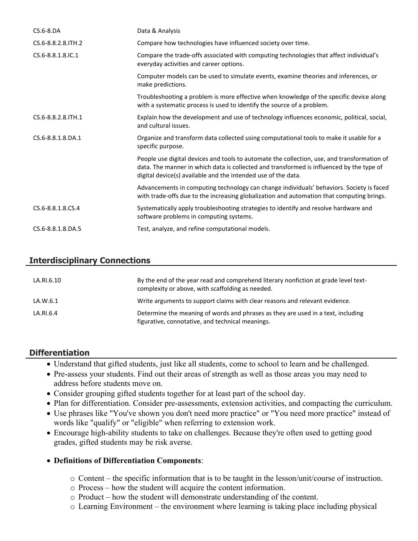| $CS.6 - 8.DA$       | Data & Analysis                                                                                                                                                                                                                                          |  |  |
|---------------------|----------------------------------------------------------------------------------------------------------------------------------------------------------------------------------------------------------------------------------------------------------|--|--|
| CS.6-8.8.2.8.ITH.2  | Compare how technologies have influenced society over time.                                                                                                                                                                                              |  |  |
| CS.6-8.8.1.8.IC.1   | Compare the trade-offs associated with computing technologies that affect individual's<br>everyday activities and career options.                                                                                                                        |  |  |
|                     | Computer models can be used to simulate events, examine theories and inferences, or<br>make predictions.                                                                                                                                                 |  |  |
|                     | Troubleshooting a problem is more effective when knowledge of the specific device along<br>with a systematic process is used to identify the source of a problem.                                                                                        |  |  |
| CS.6-8.8.2.8. ITH.1 | Explain how the development and use of technology influences economic, political, social,<br>and cultural issues.                                                                                                                                        |  |  |
| CS.6-8.8.1.8.DA.1   | Organize and transform data collected using computational tools to make it usable for a<br>specific purpose.                                                                                                                                             |  |  |
|                     | People use digital devices and tools to automate the collection, use, and transformation of<br>data. The manner in which data is collected and transformed is influenced by the type of<br>digital device(s) available and the intended use of the data. |  |  |
|                     | Advancements in computing technology can change individuals' behaviors. Society is faced<br>with trade-offs due to the increasing globalization and automation that computing brings.                                                                    |  |  |
| CS.6-8.8.1.8.CS.4   | Systematically apply troubleshooting strategies to identify and resolve hardware and<br>software problems in computing systems.                                                                                                                          |  |  |
| CS.6-8.8.1.8.DA.5   | Test, analyze, and refine computational models.                                                                                                                                                                                                          |  |  |

# **Interdisciplinary Connections**

| LA.RI.6.10 | By the end of the year read and comprehend literary nonfiction at grade level text-<br>complexity or above, with scaffolding as needed. |
|------------|-----------------------------------------------------------------------------------------------------------------------------------------|
| LA.W.6.1   | Write arguments to support claims with clear reasons and relevant evidence.                                                             |
| LA.RI.6.4  | Determine the meaning of words and phrases as they are used in a text, including<br>figurative, connotative, and technical meanings.    |

#### **Differentiation**

- Understand that gifted students, just like all students, come to school to learn and be challenged.
- Pre-assess your students. Find out their areas of strength as well as those areas you may need to address before students move on.
- Consider grouping gifted students together for at least part of the school day.
- Plan for differentiation. Consider pre-assessments, extension activities, and compacting the curriculum.
- Use phrases like "You've shown you don't need more practice" or "You need more practice" instead of words like "qualify" or "eligible" when referring to extension work.
- Encourage high-ability students to take on challenges. Because they're often used to getting good grades, gifted students may be risk averse.
- **Definitions of Differentiation Components**:
	- o Content the specific information that is to be taught in the lesson/unit/course of instruction.
	- o Process how the student will acquire the content information.
	- o Product how the student will demonstrate understanding of the content.
	- o Learning Environment the environment where learning is taking place including physical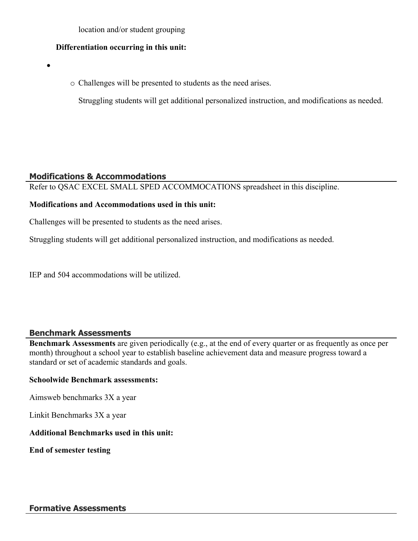location and/or student grouping

#### **Differentiation occurring in this unit:**

 $\bullet$ 

o Challenges will be presented to students as the need arises.

Struggling students will get additional personalized instruction, and modifications as needed.

#### **Modifications & Accommodations**

Refer to QSAC EXCEL SMALL SPED ACCOMMOCATIONS spreadsheet in this discipline.

#### **Modifications and Accommodations used in this unit:**

Challenges will be presented to students as the need arises.

Struggling students will get additional personalized instruction, and modifications as needed.

IEP and 504 accommodations will be utilized.

#### **Benchmark Assessments**

**Benchmark Assessments** are given periodically (e.g., at the end of every quarter or as frequently as once per month) throughout a school year to establish baseline achievement data and measure progress toward a standard or set of academic standards and goals.

#### **Schoolwide Benchmark assessments:**

Aimsweb benchmarks 3X a year

Linkit Benchmarks 3X a year

#### **Additional Benchmarks used in this unit:**

**End of semester testing**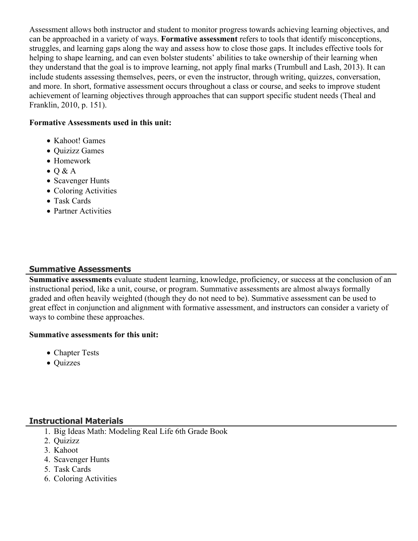Assessment allows both instructor and student to monitor progress towards achieving learning objectives, and can be approached in a variety of ways. **Formative assessment** refers to tools that identify misconceptions, struggles, and learning gaps along the way and assess how to close those gaps. It includes effective tools for helping to shape learning, and can even bolster students' abilities to take ownership of their learning when they understand that the goal is to improve learning, not apply final marks (Trumbull and Lash, 2013). It can include students assessing themselves, peers, or even the instructor, through writing, quizzes, conversation, and more. In short, formative assessment occurs throughout a class or course, and seeks to improve student achievement of learning objectives through approaches that can support specific student needs (Theal and Franklin, 2010, p. 151).

#### **Formative Assessments used in this unit:**

- Kahoot! Games
- Quizizz Games
- Homework
- $\bullet$  Q & A
- Scavenger Hunts
- Coloring Activities
- Task Cards
- Partner Activities

# **Summative Assessments**

**Summative assessments** evaluate student learning, knowledge, proficiency, or success at the conclusion of an instructional period, like a unit, course, or program. Summative assessments are almost always formally graded and often heavily weighted (though they do not need to be). Summative assessment can be used to great effect in conjunction and alignment with formative assessment, and instructors can consider a variety of ways to combine these approaches.

#### **Summative assessments for this unit:**

- Chapter Tests
- Quizzes

#### **Instructional Materials**

- 1. Big Ideas Math: Modeling Real Life 6th Grade Book
- 2. Quizizz
- 3. Kahoot
- 4. Scavenger Hunts
- 5. Task Cards
- 6. Coloring Activities